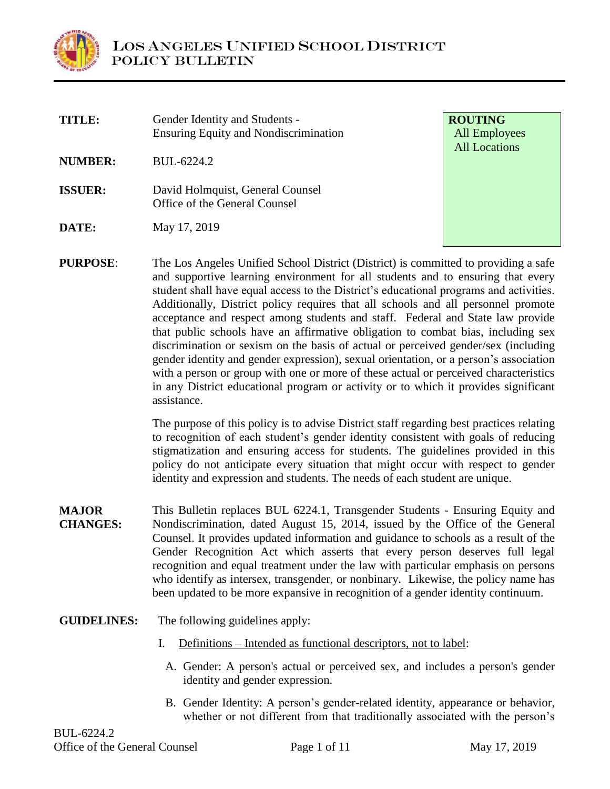

| <b>TITLE:</b>   | Gender Identity and Students -<br><b>Ensuring Equity and Nondiscrimination</b>                                                                                                                                                |
|-----------------|-------------------------------------------------------------------------------------------------------------------------------------------------------------------------------------------------------------------------------|
| <b>NUMBER:</b>  | BUL-6224.2                                                                                                                                                                                                                    |
| <b>ISSUER:</b>  | David Holmquist, General Counsel<br>Office of the General Counsel                                                                                                                                                             |
| DATE:           | May 17, 2019                                                                                                                                                                                                                  |
| <b>PURPOSE:</b> | The Los Angeles Unified School District (District) is<br>and supportive learning environment for all student<br>student shall have equal access to the District's educ<br>Additionally District policy requires that all scho |

**ROUTING** All Employees All Locations

s committed to providing a safe nts and to ensuring that every ational programs and activities. Additionally, District policy requires that all schools and all personnel promote acceptance and respect among students and staff. Federal and State law provide that public schools have an affirmative obligation to combat bias, including sex discrimination or sexism on the basis of actual or perceived gender/sex (including gender identity and gender expression), sexual orientation, or a person's association with a person or group with one or more of these actual or perceived characteristics in any District educational program or activity or to which it provides significant assistance.

> The purpose of this policy is to advise District staff regarding best practices relating to recognition of each student's gender identity consistent with goals of reducing stigmatization and ensuring access for students. The guidelines provided in this policy do not anticipate every situation that might occur with respect to gender identity and expression and students. The needs of each student are unique.

- **MAJOR CHANGES:** This Bulletin replaces BUL 6224.1, Transgender Students - Ensuring Equity and Nondiscrimination, dated August 15, 2014, issued by the Office of the General Counsel. It provides updated information and guidance to schools as a result of the Gender Recognition Act which asserts that every person deserves full legal recognition and equal treatment under the law with particular emphasis on persons who identify as intersex, transgender, or nonbinary. Likewise, the policy name has been updated to be more expansive in recognition of a gender identity continuum.
- **GUIDELINES:** The following guidelines apply:
	- I. Definitions Intended as functional descriptors, not to label:
		- A. Gender: A person's actual or perceived sex, and includes a person's gender identity and gender expression.
		- B. Gender Identity: A person's gender-related identity, appearance or behavior, whether or not different from that traditionally associated with the person's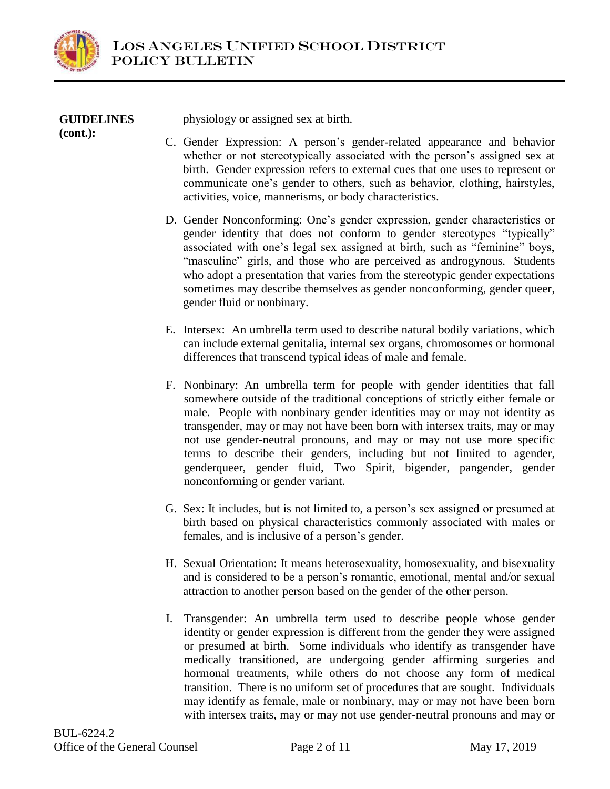

| <b>GUIDELINES</b><br>$(cont.)$ : | physiology or assigned sex at birth.                                                                                                                                                                                                                                                                                                                                               |
|----------------------------------|------------------------------------------------------------------------------------------------------------------------------------------------------------------------------------------------------------------------------------------------------------------------------------------------------------------------------------------------------------------------------------|
|                                  | C. Gender Expression: A person's gender-related appearance and behavior<br>whether or not stereotypically associated with the person's assigned sex at<br>birth. Gender expression refers to external cues that one uses to represent or<br>communicate one's gender to others, such as behavior, clothing, hairstyles,<br>activities, voice, mannerisms, or body characteristics. |
|                                  | D. Gander Nonconforming: One's gender expression, gender characteristics or                                                                                                                                                                                                                                                                                                        |

- D. Gender Nonconforming: One's gender expression, gender characteristics or gender identity that does not conform to gender stereotypes "typically" associated with one's legal sex assigned at birth, such as "feminine" boys, "masculine" girls, and those who are perceived as androgynous. Students who adopt a presentation that varies from the stereotypic gender expectations sometimes may describe themselves as gender nonconforming, gender queer, gender fluid or nonbinary.
- E. Intersex: An umbrella term used to describe natural bodily variations, which can include external genitalia, internal sex organs, chromosomes or hormonal differences that transcend typical ideas of male and female.
- F. Nonbinary: An umbrella term for people with gender identities that fall somewhere outside of the traditional conceptions of strictly either female or male. People with nonbinary gender identities may or may not identity as transgender, may or may not have been born with intersex traits, may or may not use gender-neutral pronouns, and may or may not use more specific terms to describe their genders, including but not limited to agender, genderqueer, gender fluid, Two Spirit, bigender, pangender, gender nonconforming or gender variant.
- G. Sex: It includes, but is not limited to, a person's sex assigned or presumed at birth based on physical characteristics commonly associated with males or females, and is inclusive of a person's gender.
- H. Sexual Orientation: It means heterosexuality, homosexuality, and bisexuality and is considered to be a person's romantic, emotional, mental and/or sexual attraction to another person based on the gender of the other person.
- I. Transgender: An umbrella term used to describe people whose gender identity or gender expression is different from the gender they were assigned or presumed at birth. Some individuals who identify as transgender have medically transitioned, are undergoing gender affirming surgeries and hormonal treatments, while others do not choose any form of medical transition. There is no uniform set of procedures that are sought. Individuals may identify as female, male or nonbinary, may or may not have been born with intersex traits, may or may not use gender-neutral pronouns and may or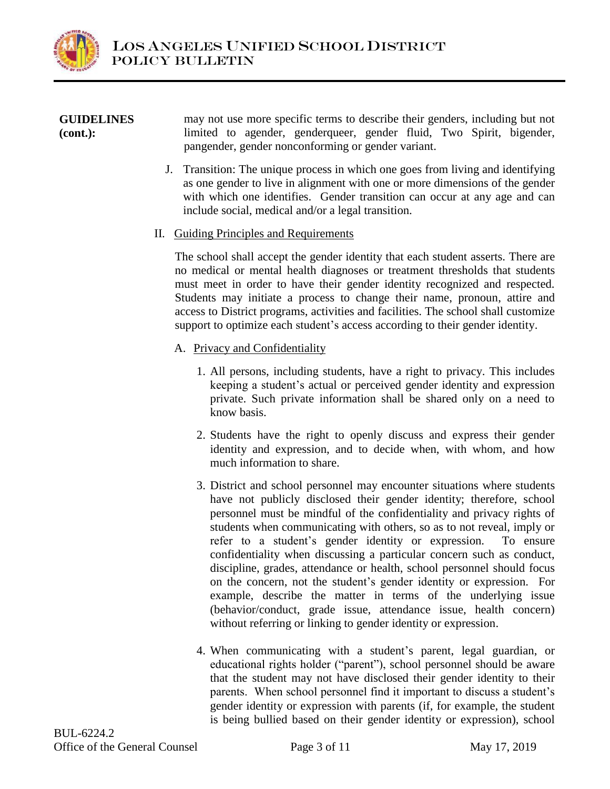

#### **GUIDELINES (cont.):** may not use more specific terms to describe their genders, including but not limited to agender, genderqueer, gender fluid, Two Spirit, bigender, pangender, gender nonconforming or gender variant.

J. Transition: The unique process in which one goes from living and identifying as one gender to live in alignment with one or more dimensions of the gender with which one identifies. Gender transition can occur at any age and can include social, medical and/or a legal transition.

# II. Guiding Principles and Requirements

The school shall accept the gender identity that each student asserts. There are no medical or mental health diagnoses or treatment thresholds that students must meet in order to have their gender identity recognized and respected. Students may initiate a process to change their name, pronoun, attire and access to District programs, activities and facilities. The school shall customize support to optimize each student's access according to their gender identity.

- A. Privacy and Confidentiality
	- 1. All persons, including students, have a right to privacy. This includes keeping a student's actual or perceived gender identity and expression private. Such private information shall be shared only on a need to know basis.
	- 2. Students have the right to openly discuss and express their gender identity and expression, and to decide when, with whom, and how much information to share.
	- 3. District and school personnel may encounter situations where students have not publicly disclosed their gender identity; therefore, school personnel must be mindful of the confidentiality and privacy rights of students when communicating with others, so as to not reveal, imply or refer to a student's gender identity or expression. To ensure confidentiality when discussing a particular concern such as conduct, discipline, grades, attendance or health, school personnel should focus on the concern, not the student's gender identity or expression. For example, describe the matter in terms of the underlying issue (behavior/conduct, grade issue, attendance issue, health concern) without referring or linking to gender identity or expression.
	- 4. When communicating with a student's parent, legal guardian, or educational rights holder ("parent"), school personnel should be aware that the student may not have disclosed their gender identity to their parents. When school personnel find it important to discuss a student's gender identity or expression with parents (if, for example, the student is being bullied based on their gender identity or expression), school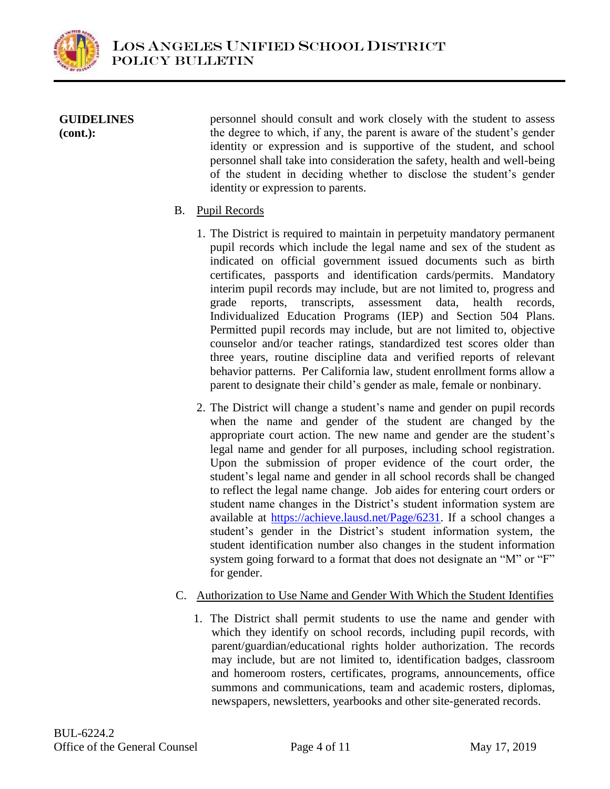

### **GUIDELINES (cont.):**

personnel should consult and work closely with the student to assess the degree to which, if any, the parent is aware of the student's gender identity or expression and is supportive of the student, and school personnel shall take into consideration the safety, health and well-being of the student in deciding whether to disclose the student's gender identity or expression to parents.

# B. Pupil Records

- 1. The District is required to maintain in perpetuity mandatory permanent pupil records which include the legal name and sex of the student as indicated on official government issued documents such as birth certificates, passports and identification cards/permits. Mandatory interim pupil records may include, but are not limited to, progress and grade reports, transcripts, assessment data, health records, Individualized Education Programs (IEP) and Section 504 Plans. Permitted pupil records may include, but are not limited to, objective counselor and/or teacher ratings, standardized test scores older than three years, routine discipline data and verified reports of relevant behavior patterns. Per California law, student enrollment forms allow a parent to designate their child's gender as male, female or nonbinary.
- 2. The District will change a student's name and gender on pupil records when the name and gender of the student are changed by the appropriate court action. The new name and gender are the student's legal name and gender for all purposes, including school registration. Upon the submission of proper evidence of the court order, the student's legal name and gender in all school records shall be changed to reflect the legal name change. Job aides for entering court orders or student name changes in the District's student information system are available at [https://achieve.lausd.net/Page/6231.](https://achieve.lausd.net/Page/6231) If a school changes a student's gender in the District's student information system, the student identification number also changes in the student information system going forward to a format that does not designate an "M" or "F" for gender.

# C. Authorization to Use Name and Gender With Which the Student Identifies

1. The District shall permit students to use the name and gender with which they identify on school records, including pupil records, with parent/guardian/educational rights holder authorization. The records may include, but are not limited to, identification badges, classroom and homeroom rosters, certificates, programs, announcements, office summons and communications, team and academic rosters, diplomas, newspapers, newsletters, yearbooks and other site-generated records.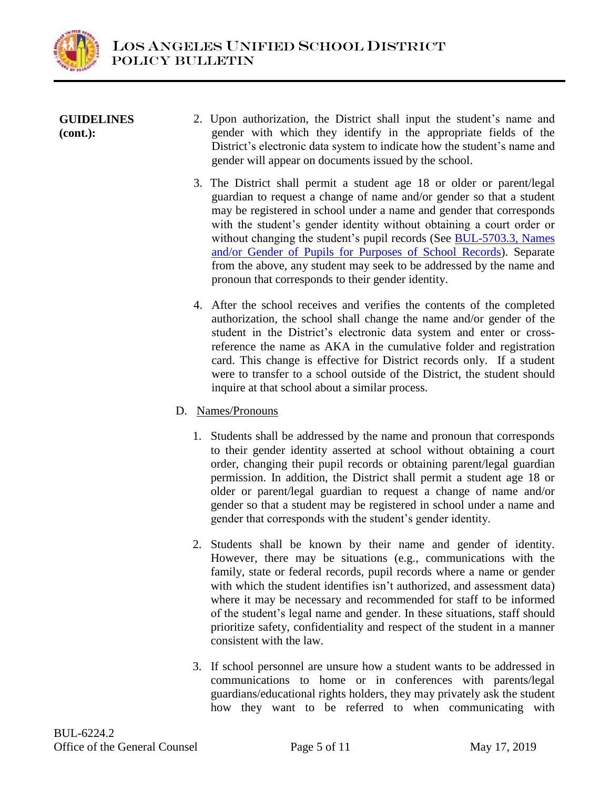

| <b>GUIDELINES</b><br>$(cont.)$ : | 2. Upon authorization, the District shall input the student's name and<br>gender with which they identify in the appropriate fields of the<br>District's electronic data system to indicate how the student's name and<br>gender will appear on documents issued by the school.                                                                                                                                                                                                                                                                                           |
|----------------------------------|---------------------------------------------------------------------------------------------------------------------------------------------------------------------------------------------------------------------------------------------------------------------------------------------------------------------------------------------------------------------------------------------------------------------------------------------------------------------------------------------------------------------------------------------------------------------------|
|                                  | 3. The District shall permit a student age 18 or older or parent/legal<br>guardian to request a change of name and/or gender so that a student<br>may be registered in school under a name and gender that corresponds<br>with the student's gender identity without obtaining a court order or<br>without changing the student's pupil records (See BUL-5703.3, Names<br>and/or Gender of Pupils for Purposes of School Records). Separate<br>from the above, any student may seek to be addressed by the name and<br>pronoun that corresponds to their gender identity. |

- 4. After the school receives and verifies the contents of the completed authorization, the school shall change the name and/or gender of the student in the District's electronic data system and enter or crossreference the name as AKA in the cumulative folder and registration card. This change is effective for District records only. If a student were to transfer to a school outside of the District, the student should inquire at that school about a similar process.
- D. Names/Pronouns
	- 1. Students shall be addressed by the name and pronoun that corresponds to their gender identity asserted at school without obtaining a court order, changing their pupil records or obtaining parent/legal guardian permission. In addition, the District shall permit a student age 18 or older or parent/legal guardian to request a change of name and/or gender so that a student may be registered in school under a name and gender that corresponds with the student's gender identity.
	- 2. Students shall be known by their name and gender of identity. However, there may be situations (e.g., communications with the family, state or federal records, pupil records where a name or gender with which the student identifies isn't authorized, and assessment data) where it may be necessary and recommended for staff to be informed of the student's legal name and gender. In these situations, staff should prioritize safety, confidentiality and respect of the student in a manner consistent with the law.
	- 3. If school personnel are unsure how a student wants to be addressed in communications to home or in conferences with parents/legal guardians/educational rights holders, they may privately ask the student how they want to be referred to when communicating with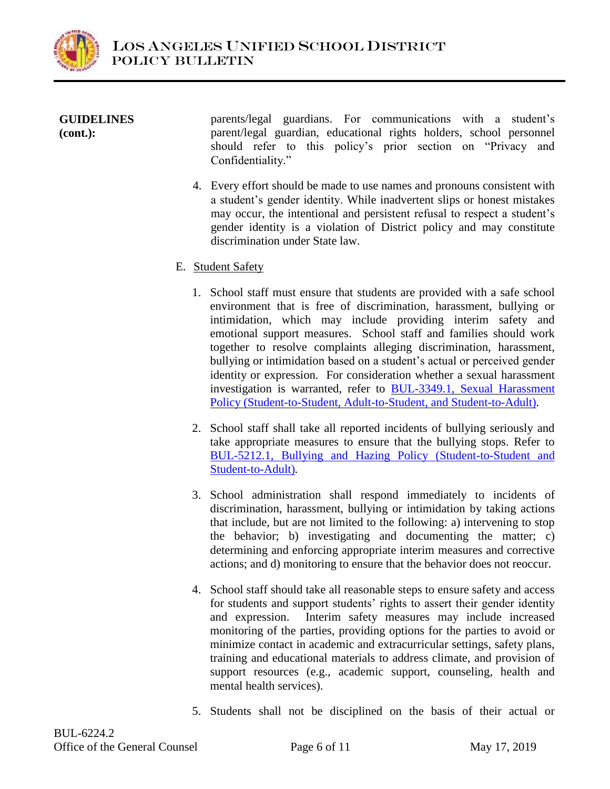

| <b>GUIDELINES</b><br>$(cont.)$ : | parents/legal guardians. For communications with a student's<br>parent/legal guardian, educational rights holders, school personnel<br>should refer to this policy's prior section on "Privacy and<br>Confidentiality." |
|----------------------------------|-------------------------------------------------------------------------------------------------------------------------------------------------------------------------------------------------------------------------|
|                                  |                                                                                                                                                                                                                         |

4. Every effort should be made to use names and pronouns consistent with a student's gender identity. While inadvertent slips or honest mistakes may occur, the intentional and persistent refusal to respect a student's gender identity is a violation of District policy and may constitute discrimination under State law.

# E. Student Safety

- 1. School staff must ensure that students are provided with a safe school environment that is free of discrimination, harassment, bullying or intimidation, which may include providing interim safety and emotional support measures. School staff and families should work together to resolve complaints alleging discrimination, harassment, bullying or intimidation based on a student's actual or perceived gender identity or expression. For consideration whether a sexual harassment investigation is warranted, refer to [BUL-3349.1, Sexual Harassment](https://my.lausd.net/webcenter/portal/wccdoc?dDocName=1303105)  [Policy \(Student-to-Student, Adult-to-Student, and Student-to-Adult\).](https://my.lausd.net/webcenter/portal/wccdoc?dDocName=1303105)
- 2. School staff shall take all reported incidents of bullying seriously and take appropriate measures to ensure that the bullying stops. Refer to [BUL-5212.1, Bullying and Hazing Policy \(Student-to-Student and](https://my.lausd.net/webcenter/portal/wccdoc?dDocName=1306328)  [Student-to-Adult\)](https://my.lausd.net/webcenter/portal/wccdoc?dDocName=1306328)*.*
- 3. School administration shall respond immediately to incidents of discrimination, harassment, bullying or intimidation by taking actions that include, but are not limited to the following: a) intervening to stop the behavior; b) investigating and documenting the matter; c) determining and enforcing appropriate interim measures and corrective actions; and d) monitoring to ensure that the behavior does not reoccur.
- 4. School staff should take all reasonable steps to ensure safety and access for students and support students' rights to assert their gender identity and expression. Interim safety measures may include increased monitoring of the parties, providing options for the parties to avoid or minimize contact in academic and extracurricular settings, safety plans, training and educational materials to address climate, and provision of support resources (e.g., academic support, counseling, health and mental health services).
- 5. Students shall not be disciplined on the basis of their actual or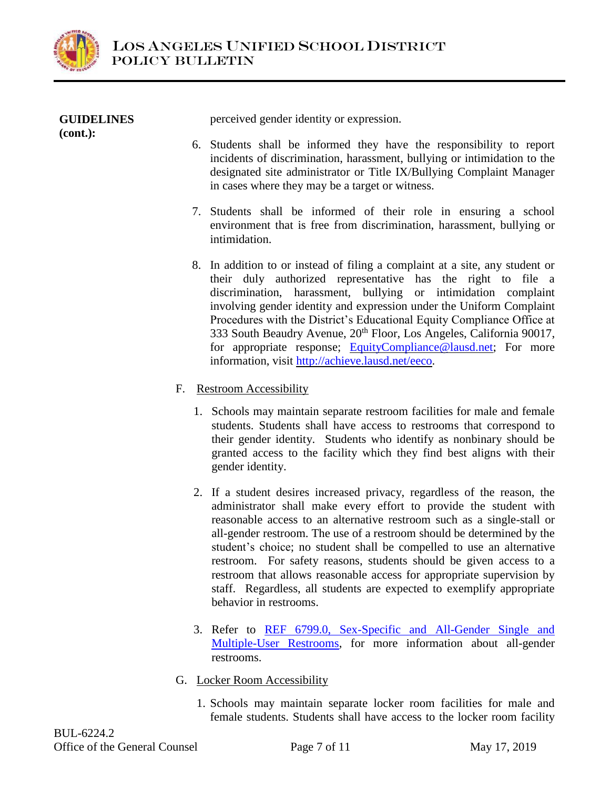

| <b>GUIDELINES</b><br>$(cont.)$ : | perceived gender identity or expression.                                                                                                                                                                                                                                                                                                                                                                                                                                                                               |
|----------------------------------|------------------------------------------------------------------------------------------------------------------------------------------------------------------------------------------------------------------------------------------------------------------------------------------------------------------------------------------------------------------------------------------------------------------------------------------------------------------------------------------------------------------------|
|                                  | 6. Students shall be informed they have the responsibility to report<br>incidents of discrimination, harassment, bullying or intimidation to the<br>designated site administrator or Title IX/Bullying Complaint Manager<br>in cases where they may be a target or witness.                                                                                                                                                                                                                                            |
|                                  | 7. Students shall be informed of their role in ensuring a school<br>environment that is free from discrimination, harassment, bullying or<br>intimidation.                                                                                                                                                                                                                                                                                                                                                             |
|                                  | 8. In addition to or instead of filing a complaint at a site, any student or<br>their duly authorized representative has the right to file a<br>discrimination, harassment, bullying or intimidation complaint<br>involving gender identity and expression under the Uniform Complaint<br>Procedures with the District's Educational Equity Compliance Office at<br>333 South Beaudry Avenue, 20 <sup>th</sup> Floor, Los Angeles, California 90017,<br>for appropriate response; EquityCompliance@lausd.net; For more |

information, visit [http://achieve.lausd.net/eeco.](http://achieve.lausd.net/eeco)

# F. Restroom Accessibility

- 1. Schools may maintain separate restroom facilities for male and female students. Students shall have access to restrooms that correspond to their gender identity. Students who identify as nonbinary should be granted access to the facility which they find best aligns with their gender identity.
- 2. If a student desires increased privacy, regardless of the reason, the administrator shall make every effort to provide the student with reasonable access to an alternative restroom such as a single-stall or all-gender restroom. The use of a restroom should be determined by the student's choice; no student shall be compelled to use an alternative restroom. For safety reasons, students should be given access to a restroom that allows reasonable access for appropriate supervision by staff. Regardless, all students are expected to exemplify appropriate behavior in restrooms.
- 3. Refer to [REF 6799.0, Sex-Specific and All-Gender Single and](https://my.lausd.net/webcenter/portal/wccdoc?dDocName=1342398)  [Multiple-User Restrooms,](https://my.lausd.net/webcenter/portal/wccdoc?dDocName=1342398) for more information about all-gender restrooms.
- G. Locker Room Accessibility
	- 1. Schools may maintain separate locker room facilities for male and female students. Students shall have access to the locker room facility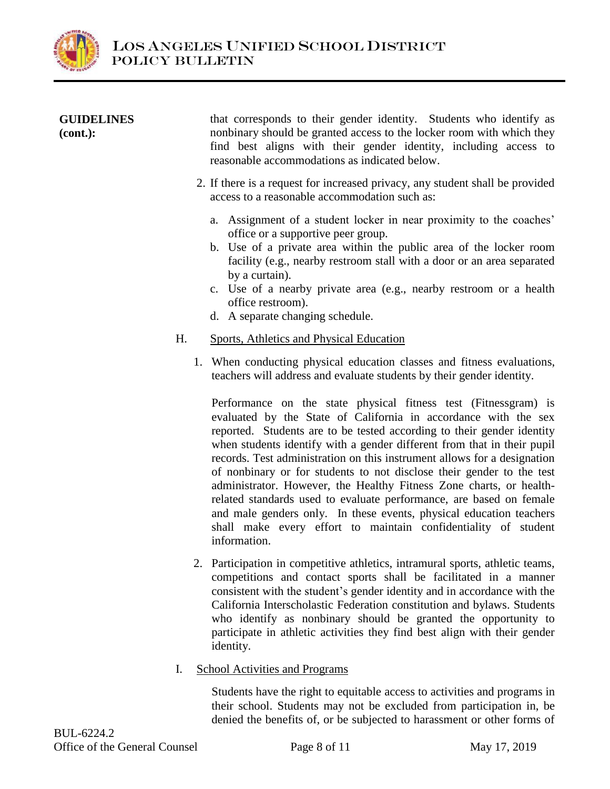

| <b>GUIDELINES</b><br>$(cont.)$ : | that corresponds to their gender identity. Students who identify as<br>nonbinary should be granted access to the locker room with which they<br>find best aligns with their gender identity, including access to<br>reasonable accommodations as indicated below.                                                                                                                                          |
|----------------------------------|------------------------------------------------------------------------------------------------------------------------------------------------------------------------------------------------------------------------------------------------------------------------------------------------------------------------------------------------------------------------------------------------------------|
|                                  | 2. If there is a request for increased privacy, any student shall be provided<br>access to a reasonable accommodation such as:                                                                                                                                                                                                                                                                             |
|                                  | a. Assignment of a student locker in near proximity to the coaches'<br>office or a supportive peer group.<br>b. Use of a private area within the public area of the locker room<br>facility (e.g., nearby restroom stall with a door or an area separated<br>by a curtain).<br>c. Use of a nearby private area (e.g., nearby restroom or a health<br>office restroom).<br>d. A separate changing schedule. |
| Н.                               | <b>Sports, Athletics and Physical Education</b>                                                                                                                                                                                                                                                                                                                                                            |
|                                  | 1. When conducting physical education classes and fitness evaluations,<br>teachers will address and evaluate students by their gender identity.                                                                                                                                                                                                                                                            |
|                                  | Performance on the state physical fitness test (Fitnessgram) is<br>evaluated by the State of California in accordance with the sex<br>reported. Students are to be tested according to their gender identity                                                                                                                                                                                               |

reported. Students are to be tested according to their gender identity when students identify with a gender different from that in their pupil records. Test administration on this instrument allows for a designation of nonbinary or for students to not disclose their gender to the test administrator. However, the Healthy Fitness Zone charts, or healthrelated standards used to evaluate performance, are based on female and male genders only. In these events, physical education teachers shall make every effort to maintain confidentiality of student information.

- 2. Participation in competitive athletics, intramural sports, athletic teams, competitions and contact sports shall be facilitated in a manner consistent with the student's gender identity and in accordance with the California Interscholastic Federation constitution and bylaws. Students who identify as nonbinary should be granted the opportunity to participate in athletic activities they find best align with their gender identity.
- I. School Activities and Programs

Students have the right to equitable access to activities and programs in their school. Students may not be excluded from participation in, be denied the benefits of, or be subjected to harassment or other forms of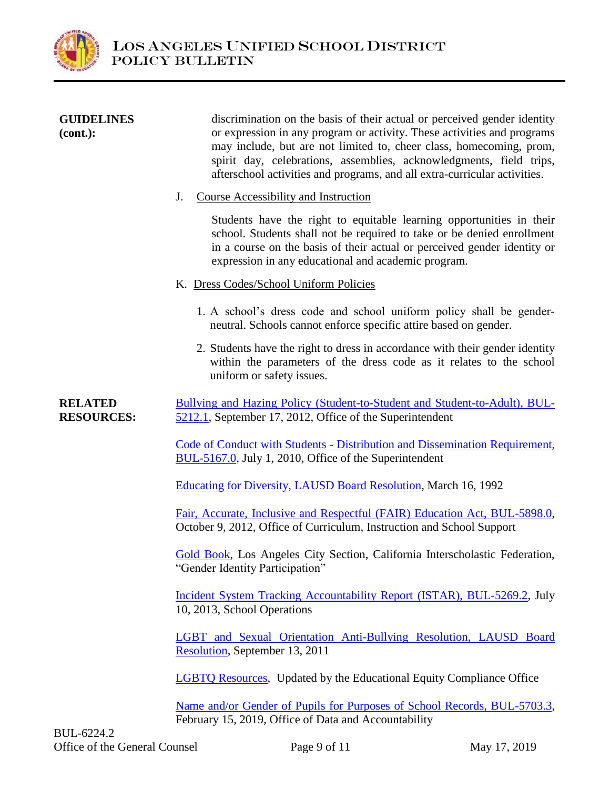

| <b>GUIDELINES</b><br>$(cont.)$ :    | discrimination on the basis of their actual or perceived gender identity<br>or expression in any program or activity. These activities and programs<br>may include, but are not limited to, cheer class, homecoming, prom,<br>spirit day, celebrations, assemblies, acknowledgments, field trips,<br>afterschool activities and programs, and all extra-curricular activities. |
|-------------------------------------|--------------------------------------------------------------------------------------------------------------------------------------------------------------------------------------------------------------------------------------------------------------------------------------------------------------------------------------------------------------------------------|
|                                     | <b>Course Accessibility and Instruction</b><br>J.                                                                                                                                                                                                                                                                                                                              |
|                                     | Students have the right to equitable learning opportunities in their<br>school. Students shall not be required to take or be denied enrollment<br>in a course on the basis of their actual or perceived gender identity or<br>expression in any educational and academic program.                                                                                              |
|                                     | K. Dress Codes/School Uniform Policies                                                                                                                                                                                                                                                                                                                                         |
|                                     | 1. A school's dress code and school uniform policy shall be gender-<br>neutral. Schools cannot enforce specific attire based on gender.                                                                                                                                                                                                                                        |
|                                     | 2. Students have the right to dress in accordance with their gender identity<br>within the parameters of the dress code as it relates to the school<br>uniform or safety issues.                                                                                                                                                                                               |
| <b>RELATED</b><br><b>RESOURCES:</b> | Bullying and Hazing Policy (Student-to-Student and Student-to-Adult), BUL-<br>5212.1, September 17, 2012, Office of the Superintendent                                                                                                                                                                                                                                         |
|                                     | Code of Conduct with Students - Distribution and Dissemination Requirement,<br>BUL-5167.0, July 1, 2010, Office of the Superintendent                                                                                                                                                                                                                                          |
|                                     | Educating for Diversity, LAUSD Board Resolution, March 16, 1992                                                                                                                                                                                                                                                                                                                |
|                                     | Fair, Accurate, Inclusive and Respectful (FAIR) Education Act, BUL-5898.0,<br>October 9, 2012, Office of Curriculum, Instruction and School Support                                                                                                                                                                                                                            |
|                                     | Gold Book, Los Angeles City Section, California Interscholastic Federation,<br>"Gender Identity Participation"                                                                                                                                                                                                                                                                 |
|                                     | Incident System Tracking Accountability Report (ISTAR), BUL-5269.2, July<br>10, 2013, School Operations                                                                                                                                                                                                                                                                        |
|                                     | LGBT and Sexual Orientation Anti-Bullying Resolution, LAUSD Board<br>Resolution, September 13, 2011                                                                                                                                                                                                                                                                            |
|                                     | LGBTQ Resources, Updated by the Educational Equity Compliance Office                                                                                                                                                                                                                                                                                                           |
|                                     | Name and/or Gender of Pupils for Purposes of School Records, BUL-5703.3,<br>February 15, 2019, Office of Data and Accountability                                                                                                                                                                                                                                               |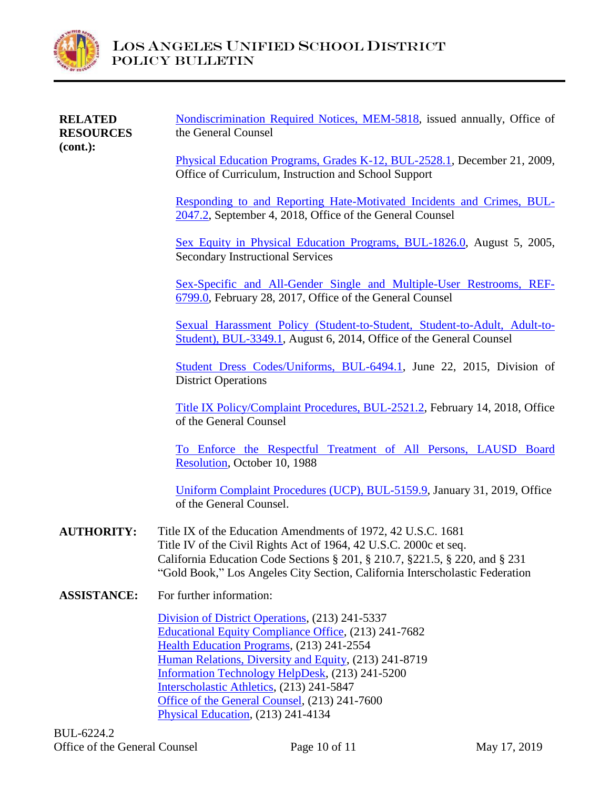

| <b>RELATED</b><br><b>RESOURCES</b> | Nondiscrimination Required Notices, MEM-5818, issued annually, Office of<br>the General Counsel                                                                                                                                                                                                                                                                                                              |
|------------------------------------|--------------------------------------------------------------------------------------------------------------------------------------------------------------------------------------------------------------------------------------------------------------------------------------------------------------------------------------------------------------------------------------------------------------|
| $(cont.)$ :                        | Physical Education Programs, Grades K-12, BUL-2528.1, December 21, 2009,<br>Office of Curriculum, Instruction and School Support                                                                                                                                                                                                                                                                             |
|                                    | Responding to and Reporting Hate-Motivated Incidents and Crimes, BUL-<br>2047.2, September 4, 2018, Office of the General Counsel                                                                                                                                                                                                                                                                            |
|                                    | Sex Equity in Physical Education Programs, BUL-1826.0, August 5, 2005,<br><b>Secondary Instructional Services</b>                                                                                                                                                                                                                                                                                            |
|                                    | Sex-Specific and All-Gender Single and Multiple-User Restrooms, REF-<br>6799.0, February 28, 2017, Office of the General Counsel                                                                                                                                                                                                                                                                             |
|                                    | Sexual Harassment Policy (Student-to-Student, Student-to-Adult, Adult-to-<br>Student), BUL-3349.1, August 6, 2014, Office of the General Counsel                                                                                                                                                                                                                                                             |
|                                    | Student Dress Codes/Uniforms, BUL-6494.1, June 22, 2015, Division of<br><b>District Operations</b>                                                                                                                                                                                                                                                                                                           |
|                                    | Title IX Policy/Complaint Procedures, BUL-2521.2, February 14, 2018, Office<br>of the General Counsel                                                                                                                                                                                                                                                                                                        |
|                                    | To Enforce the Respectful Treatment of All Persons, LAUSD Board<br>Resolution, October 10, 1988                                                                                                                                                                                                                                                                                                              |
|                                    | Uniform Complaint Procedures (UCP), BUL-5159.9, January 31, 2019, Office<br>of the General Counsel.                                                                                                                                                                                                                                                                                                          |
| <b>AUTHORITY:</b>                  | Title IX of the Education Amendments of 1972, 42 U.S.C. 1681<br>Title IV of the Civil Rights Act of 1964, 42 U.S.C. 2000c et seq.<br>California Education Code Sections § 201, § 210.7, § 221.5, § 220, and § 231<br>"Gold Book," Los Angeles City Section, California Interscholastic Federation                                                                                                            |
| <b>ASSISTANCE:</b>                 | For further information:                                                                                                                                                                                                                                                                                                                                                                                     |
|                                    | Division of District Operations, (213) 241-5337<br><b>Educational Equity Compliance Office</b> , (213) 241-7682<br>Health Education Programs, (213) 241-2554<br>Human Relations, Diversity and Equity, (213) 241-8719<br>Information Technology HelpDesk, (213) 241-5200<br>Interscholastic Athletics, (213) 241-5847<br>Office of the General Counsel, (213) 241-7600<br>Physical Education, (213) 241-4134 |